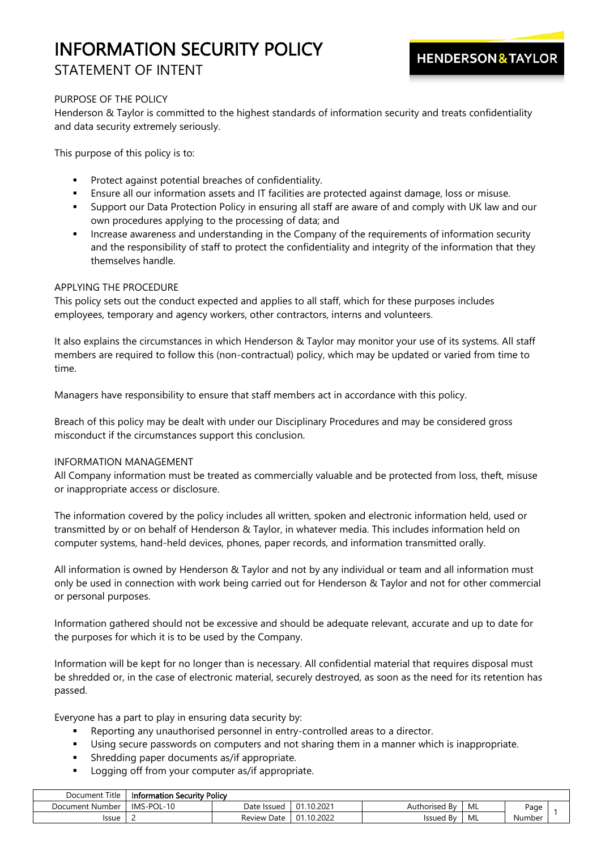## PURPOSE OF THE POLICY

Henderson & Taylor is committed to the highest standards of information security and treats confidentiality and data security extremely seriously.

This purpose of this policy is to:

- Protect against potential breaches of confidentiality.
- Ensure all our information assets and IT facilities are protected against damage, loss or misuse.
- Support our Data Protection Policy in ensuring all staff are aware of and comply with UK law and our own procedures applying to the processing of data; and
- **•** Increase awareness and understanding in the Company of the requirements of information security and the responsibility of staff to protect the confidentiality and integrity of the information that they themselves handle.

### APPLYING THE PROCEDURE

This policy sets out the conduct expected and applies to all staff, which for these purposes includes employees, temporary and agency workers, other contractors, interns and volunteers.

It also explains the circumstances in which Henderson & Taylor may monitor your use of its systems. All staff members are required to follow this (non-contractual) policy, which may be updated or varied from time to time.

Managers have responsibility to ensure that staff members act in accordance with this policy.

Breach of this policy may be dealt with under our Disciplinary Procedures and may be considered gross misconduct if the circumstances support this conclusion.

### INFORMATION MANAGEMENT

All Company information must be treated as commercially valuable and be protected from loss, theft, misuse or inappropriate access or disclosure.

The information covered by the policy includes all written, spoken and electronic information held, used or transmitted by or on behalf of Henderson & Taylor, in whatever media. This includes information held on computer systems, hand-held devices, phones, paper records, and information transmitted orally.

All information is owned by Henderson & Taylor and not by any individual or team and all information must only be used in connection with work being carried out for Henderson & Taylor and not for other commercial or personal purposes.

Information gathered should not be excessive and should be adequate relevant, accurate and up to date for the purposes for which it is to be used by the Company.

Information will be kept for no longer than is necessary. All confidential material that requires disposal must be shredded or, in the case of electronic material, securely destroyed, as soon as the need for its retention has passed.

Everyone has a part to play in ensuring data security by:

- Reporting any unauthorised personnel in entry-controlled areas to a director.
- Using secure passwords on computers and not sharing them in a manner which is inappropriate.
- Shredding paper documents as/if appropriate.
- Logging off from your computer as/if appropriate.

| Title<br>Document | <b>Information Security Policy</b> |                |                        |               |    |        |  |
|-------------------|------------------------------------|----------------|------------------------|---------------|----|--------|--|
| Document Number   | IMS-POL-10                         | Jate<br>Issued | .10.2021<br>$^{\circ}$ | Authorised By | ML | Page   |  |
| issue             |                                    | Date<br>Review | 10.2022<br>01          | Issued By     | ML | Number |  |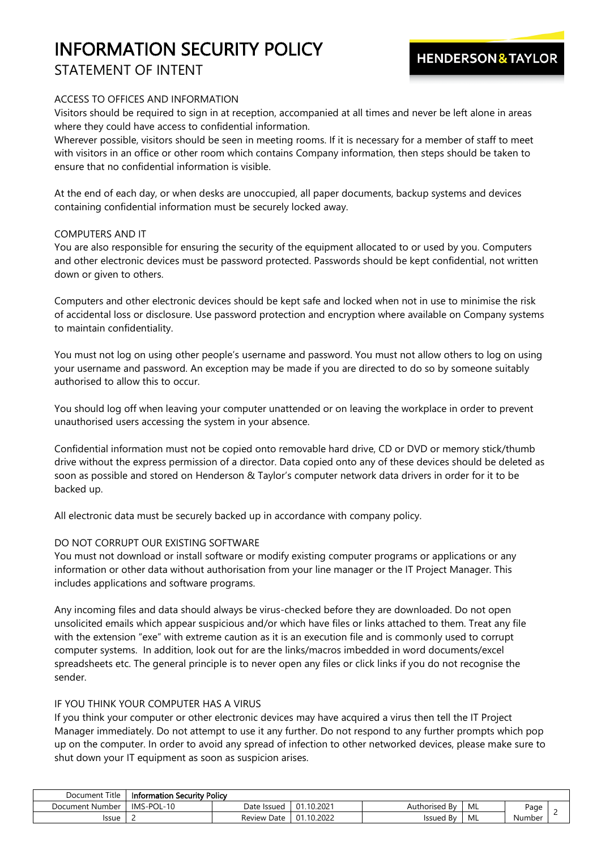## ACCESS TO OFFICES AND INFORMATION

Visitors should be required to sign in at reception, accompanied at all times and never be left alone in areas where they could have access to confidential information.

Wherever possible, visitors should be seen in meeting rooms. If it is necessary for a member of staff to meet with visitors in an office or other room which contains Company information, then steps should be taken to ensure that no confidential information is visible.

At the end of each day, or when desks are unoccupied, all paper documents, backup systems and devices containing confidential information must be securely locked away.

### COMPUTERS AND IT

You are also responsible for ensuring the security of the equipment allocated to or used by you. Computers and other electronic devices must be password protected. Passwords should be kept confidential, not written down or given to others.

Computers and other electronic devices should be kept safe and locked when not in use to minimise the risk of accidental loss or disclosure. Use password protection and encryption where available on Company systems to maintain confidentiality.

You must not log on using other people's username and password. You must not allow others to log on using your username and password. An exception may be made if you are directed to do so by someone suitably authorised to allow this to occur.

You should log off when leaving your computer unattended or on leaving the workplace in order to prevent unauthorised users accessing the system in your absence.

Confidential information must not be copied onto removable hard drive, CD or DVD or memory stick/thumb drive without the express permission of a director. Data copied onto any of these devices should be deleted as soon as possible and stored on Henderson & Taylor's computer network data drivers in order for it to be backed up.

All electronic data must be securely backed up in accordance with company policy.

### DO NOT CORRUPT OUR EXISTING SOFTWARE

You must not download or install software or modify existing computer programs or applications or any information or other data without authorisation from your line manager or the IT Project Manager. This includes applications and software programs.

Any incoming files and data should always be virus-checked before they are downloaded. Do not open unsolicited emails which appear suspicious and/or which have files or links attached to them. Treat any file with the extension "exe" with extreme caution as it is an execution file and is commonly used to corrupt computer systems. In addition, look out for are the links/macros imbedded in word documents/excel spreadsheets etc. The general principle is to never open any files or click links if you do not recognise the sender.

#### IF YOU THINK YOUR COMPUTER HAS A VIRUS

If you think your computer or other electronic devices may have acquired a virus then tell the IT Project Manager immediately. Do not attempt to use it any further. Do not respond to any further prompts which pop up on the computer. In order to avoid any spread of infection to other networked devices, please make sure to shut down your IT equipment as soon as suspicion arises.

| Title<br>Document | <b>Information Security Policy</b> |                    |                  |                    |    |        |  |
|-------------------|------------------------------------|--------------------|------------------|--------------------|----|--------|--|
| Document Number   | IMS-POL-10                         | Date Issued        | .10.2021<br>-01. | Authorised<br>. Bv | ML | Page   |  |
| Issue             |                                    | <b>Review Date</b> | 10.2022<br>01.   | Issued<br>Bv       | ML | Number |  |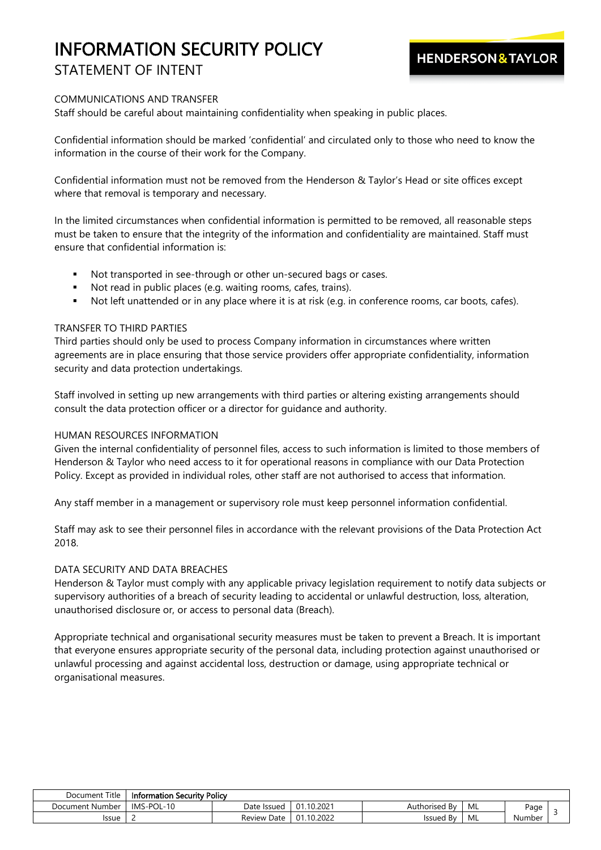## COMMUNICATIONS AND TRANSFER

Staff should be careful about maintaining confidentiality when speaking in public places.

Confidential information should be marked 'confidential' and circulated only to those who need to know the information in the course of their work for the Company.

Confidential information must not be removed from the Henderson & Taylor's Head or site offices except where that removal is temporary and necessary.

In the limited circumstances when confidential information is permitted to be removed, all reasonable steps must be taken to ensure that the integrity of the information and confidentiality are maintained. Staff must ensure that confidential information is:

- Not transported in see-through or other un-secured bags or cases.
- Not read in public places (e.g. waiting rooms, cafes, trains).
- Not left unattended or in any place where it is at risk (e.g. in conference rooms, car boots, cafes).

#### TRANSFER TO THIRD PARTIES

Third parties should only be used to process Company information in circumstances where written agreements are in place ensuring that those service providers offer appropriate confidentiality, information security and data protection undertakings.

Staff involved in setting up new arrangements with third parties or altering existing arrangements should consult the data protection officer or a director for guidance and authority.

#### HUMAN RESOURCES INFORMATION

Given the internal confidentiality of personnel files, access to such information is limited to those members of Henderson & Taylor who need access to it for operational reasons in compliance with our Data Protection Policy. Except as provided in individual roles, other staff are not authorised to access that information.

Any staff member in a management or supervisory role must keep personnel information confidential.

Staff may ask to see their personnel files in accordance with the relevant provisions of the Data Protection Act 2018.

### DATA SECURITY AND DATA BREACHES

Henderson & Taylor must comply with any applicable privacy legislation requirement to notify data subjects or supervisory authorities of a breach of security leading to accidental or unlawful destruction, loss, alteration, unauthorised disclosure or, or access to personal data (Breach).

Appropriate technical and organisational security measures must be taken to prevent a Breach. It is important that everyone ensures appropriate security of the personal data, including protection against unauthorised or unlawful processing and against accidental loss, destruction or damage, using appropriate technical or organisational measures.

| Title<br>Document | <b>Information Security Policy</b> |                       |                      |                    |    |        |  |
|-------------------|------------------------------------|-----------------------|----------------------|--------------------|----|--------|--|
| Document Number   | IMS-POL-10                         | Date<br><b>Issuec</b> | 10.2021<br>. በ1<br>Ω | Authorised<br>. Bv | ML | Page   |  |
| lssue             |                                    | Review Date           | 10.2022<br>01        | Issued By          | ML | Number |  |